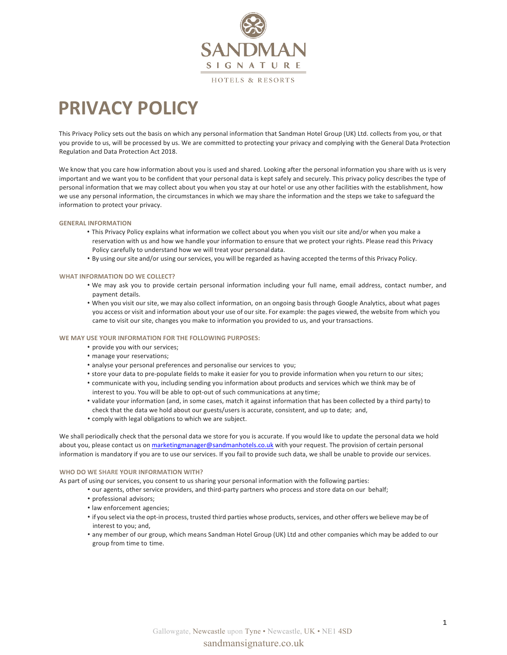

# **PRIVACY POLICY**

This Privacy Policy sets out the basis on which any personal information that Sandman Hotel Group (UK) Ltd. collects from you, or that you provide to us, will be processed by us. We are committed to protecting your privacy and complying with the General Data Protection Regulation and Data Protection Act 2018.

We know that you care how information about you is used and shared. Looking after the personal information you share with us is very important and we want you to be confident that your personal data is kept safely and securely. This privacy policy describes the type of personal information that we may collect about you when you stay at our hotel or use any other facilities with the establishment, how we use any personal information, the circumstances in which we may share the information and the steps we take to safeguard the information to protect your privacy.

# **GENERAL INFORMATION**

- This Privacy Policy explains what information we collect about you when you visit our site and/or when you make a reservation with us and how we handle your information to ensure that we protect your rights. Please read this Privacy Policy carefully to understand how we will treat your personal data.
- By using oursite and/or using ourservices, you will be regarded as having accepted the terms of this Privacy Policy.

# **WHAT INFORMATION DO WE COLLECT?**

- We may ask you to provide certain personal information including your full name, email address, contact number, and payment details.
- When you visit our site, we may also collect information, on an ongoing basis through Google Analytics, about what pages you access or visit and information about your use of our site. For example: the pages viewed, the website from which you came to visit our site, changes you make to information you provided to us, and your transactions.

# **WE MAY USE YOUR INFORMATION FOR THE FOLLOWING PURPOSES:**

- provide you with our services;
- manage your reservations;
- analyse your personal preferences and personalise our services to you;
- store your data to pre-populate fields to make it easier for you to provide information when you return to our sites;
- communicate with you, including sending you information about products and services which we think may be of interest to you. You will be able to opt-out of such communications at any time;
- validate your information (and, in some cases, match it against information that has been collected by a third party) to check that the data we hold about our guests/users is accurate, consistent, and up to date; and,
- comply with legal obligations to which we are subject.

We shall periodically check that the personal data we store for you is accurate. If you would like to update the personal data we hold about you, please contact us on marketingmanager@sandmanhotels.co.uk with your request. The provision of certain personal information is mandatory if you are to use our services. If you fail to provide such data, we shall be unable to provide our services.

# **WHO DO WE SHARE YOUR INFORMATION WITH?**

As part of using our services, you consent to us sharing your personal information with the following parties:

- our agents, other service providers, and third-party partners who process and store data on our behalf;
- professional advisors;
- law enforcement agencies;
- if you select via the opt-in process, trusted third parties whose products, services, and other offers we believe may be of interest to you; and,
- any member of our group, which means Sandman Hotel Group (UK) Ltd and other companies which may be added to our group from time to time.